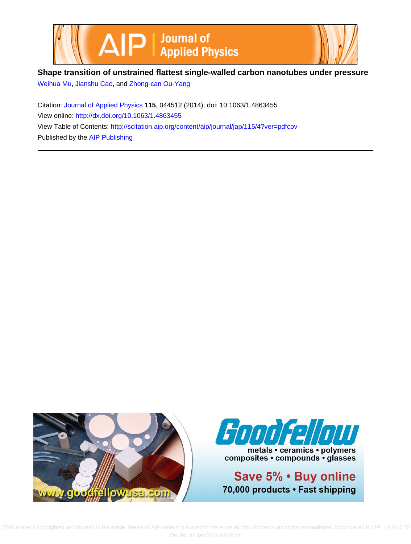



## **Shape transition of unstrained flattest single-walled carbon nanotubes under pressure**

[Weihua Mu,](http://scitation.aip.org/search?value1=Weihua+Mu&option1=author) [Jianshu Cao,](http://scitation.aip.org/search?value1=Jianshu+Cao&option1=author) and [Zhong-can Ou-Yang](http://scitation.aip.org/search?value1=Zhong-can+Ou-Yang&option1=author)

Citation: [Journal of Applied Physics](http://scitation.aip.org/content/aip/journal/jap?ver=pdfcov) **115**, 044512 (2014); doi: 10.1063/1.4863455 View online: <http://dx.doi.org/10.1063/1.4863455> View Table of Contents: <http://scitation.aip.org/content/aip/journal/jap/115/4?ver=pdfcov> Published by the [AIP Publishing](http://scitation.aip.org/content/aip?ver=pdfcov)





metals • ceramics • polymers composites · compounds · glasses

Save 5% . Buy online 70,000 products · Fast shipping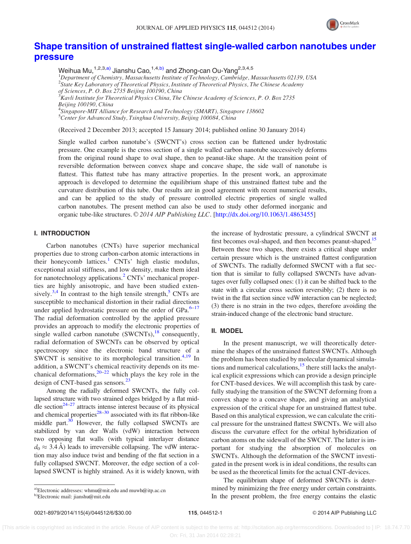

## [Shape transition of unstrained flattest single-walled carbon nanotubes under](http://dx.doi.org/10.1063/1.4863455) [pressure](http://dx.doi.org/10.1063/1.4863455)

Weihua Mu,<sup>1,2,3,a)</sup> Jianshu Cao,<sup>1,4,b)</sup> and Zhong-can Ou-Yang<sup>2,3,4,5</sup> <sup>1</sup>Department of Chemistry, Massachusetts Institute of Technology, Cambridge, Massachusetts 02139, USA <sup>2</sup>State Key Laboratory of Theoretical Physics, Institute of Theoretical Physics, The Chinese Academy of Sciences, P. O. Box 2735 Beijing 100190, China  $^3$ Kavli Institute for Theoretical Physics China, The Chinese Academy of Sciences, P. O. Box 2735 Beijing 100190, China 4 Singapore-MIT Alliance for Research and Technology (SMART), Singapore 138602 <sup>5</sup>Center for Advanced Study, Tsinghua University, Beijing 100084, China

(Received 2 December 2013; accepted 15 January 2014; published online 30 January 2014)

Single walled carbon nanotube's (SWCNT's) cross section can be flattened under hydrostatic pressure. One example is the cross section of a single walled carbon nanotube successively deforms from the original round shape to oval shape, then to peanut-like shape. At the transition point of reversible deformation between convex shape and concave shape, the side wall of nanotube is flattest. This flattest tube has many attractive properties. In the present work, an approximate approach is developed to determine the equilibrium shape of this unstrained flattest tube and the curvature distribution of this tube. Our results are in good agreement with recent numerical results, and can be applied to the study of pressure controlled electric properties of single walled carbon nanotubes. The present method can also be used to study other deformed inorganic and organic tube-like structures. © 2014 AIP Publishing LLC. [\[http://dx.doi.org/10.1063/1.4863455](http://dx.doi.org/10.1063/1.4863455)]

#### I. INTRODUCTION

Carbon nanotubes (CNTs) have superior mechanical properties due to strong carbon-carbon atomic interactions in their honeycomb lattices.<sup>[1](#page-6-0)</sup> CNTs' high elastic modulus, exceptional axial stiffness, and low density, make them ideal for nanotechnology applications.<sup>[2](#page-6-0)</sup> CNTs' mechanical properties are highly anisotropic, and have been studied exten-sively.<sup>[3,4](#page-6-0)</sup> In contrast to the high tensile strength,<sup>[5](#page-6-0)</sup> CNTs are susceptible to mechanical distortion in their radial directions under applied hydrostatic pressure on the order of  $GPa$ .<sup>[6–17](#page-6-0)</sup> The radial deformation controlled by the applied pressure provides an approach to modify the electronic properties of single walled carbon nanotube  $(SWCNTs)$ ,<sup>[18](#page-6-0)</sup> consequently, radial deformation of SWCNTs can be observed by optical spectroscopy since the electronic band structure of a SWCNT is sensitive to its morphological transition.<sup>4,19</sup> In addition, a SWCNT's chemical reactivity depends on its mechanical deformations,  $20-22$  which plays the key role in the design of CNT-based gas sensors.<sup>[23](#page-6-0)</sup>

Among the radially deformed SWCNTs, the fully collapsed structure with two strained edges bridged by a flat middle section $24-27$  attracts intense interest because of its physical and chemical properties $^{28-30}$  associated with its flat ribbon-like middle part.<sup>30</sup> However, the fully collapsed SWCNTs are stabilized by van der Walls (vdW) interaction between two opposing flat walls (with typical interlayer distance  $d_0 \approx 3.4 \text{ Å}$ ) leads to irreversible collapsing. The vdW interaction may also induce twist and bending of the flat section in a fully collapsed SWCNT. Moreover, the edge section of a collapsed SWCNT is highly strained. As it is widely known, with

the increase of hydrostatic pressure, a cylindrical SWCNT at first becomes oval-shaped, and then becomes peanut-shaped.<sup>[15](#page-6-0)</sup> Between these two shapes, there exists a critical shape under certain pressure which is the unstrained flattest configuration of SWCNTs. The radially deformed SWCNT with a flat section that is similar to fully collapsed SWCNTs have advantages over fully collapsed ones: (1) it can be shifted back to the state with a circular cross section reversibly; (2) there is no twist in the flat section since vdW interaction can be neglected; (3) there is no strain in the two edges, therefore avoiding the strain-induced change of the electronic band structure.

### II. MODEL

In the present manuscript, we will theoretically determine the shapes of the unstrained flattest SWCNTs. Although the problem has been studied by molecular dynamical simulations and numerical calculations, $15$  there still lacks the analytical explicit expressions which can provide a design principle for CNT-based devices. We will accomplish this task by carefully studying the transition of the SWCNT deforming from a convex shape to a concave shape, and giving an analytical expression of the critical shape for an unstrained flattest tube. Based on this analytical expression, we can calculate the critical pressure for the unstrained flattest SWCNTs. We will also discuss the curvature effect for the orbital hybridization of carbon atoms on the sidewall of the SWCNT. The latter is important for studying the absorption of molecules on SWCNTs. Although the deformation of the SWCNT investigated in the present work is in ideal conditions, the results can be used as the theoretical limits for the actual CNT-devices.

The equilibrium shape of deformed SWCNTs is determined by minimizing the free energy under certain constraints. In the present problem, the free energy contains the elastic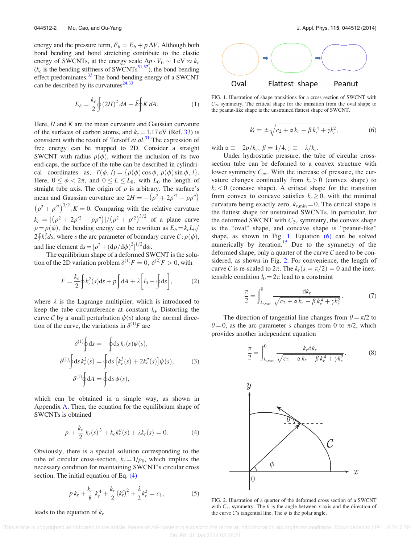<span id="page-2-0"></span>energy and the pressure term,  $F_b = E_b + p \Delta V$ . Although both bond bending and bond stretching contribute to the elastic energy of SWCNTs, at the energy scale  $\Delta p \cdot V_0 \sim 1 \text{ eV} \approx k_c$  $(k_c$  is the bending stiffness of SWCNTs<sup>31,32</sup>), the bond bending effect predominates.<sup>[33](#page-6-0)</sup> The bond-bending energy of a SWCNT can be described by its curvatures $^{24,33}$ 

$$
E_b = \frac{k_c}{2} \oint (2H)^2 dA + \bar{k} \oint K dA.
$$
 (1)

Here,  $H$  and  $K$  are the mean curvature and Gaussian curvature of the surfaces of carbon atoms, and  $k_c = 1.17 \text{ eV}$  (Ref. [33](#page-6-0)) is consistent with the result of Tersoff et  $al$ .<sup>[31](#page-6-0)</sup> The expression of free energy can be mapped to 2D. Consider a straight SWCNT with radius  $\rho(\phi)$ , without the inclusion of its two end-caps, the surface of the tube can be described in cylindrical coordinates as,  $\vec{r}(\phi, l) = {\rho(\phi) \cos \phi, \rho(\phi) \sin \phi, l}.$ Here,  $0 \le \phi < 2\pi$ , and  $0 \le L \le L_0$ , with  $L_0$  the length of straight tube axis. The origin of  $\rho$  is arbitrary. The surface's mean and Gaussian curvature are  $2H = -(\rho^2 + 2\rho'^2 - \rho\rho'')$  $(\rho^2 + \rho^2)^{3/2}$ ,  $K = 0$ . Comparing with the relative curvature  $k_r = |(\rho^2 + 2\rho'^2 - \rho \rho'')| / (\rho^2 + \rho'^2)^{3/2}$  of a plane curve  $\rho = \rho(\phi)$ , the bending energy can be rewritten as  $E_b = k_c L_0$  $2\oint k_r^2 ds$ , where s the arc parameter of boundary curve  $\mathcal{C}: \rho(\phi)$ , and line element  $ds = [\rho^2 + (d\rho/d\phi)^2]^{1/2} d\phi$ .

The equilibrium shape of a deformed SWCNT is the solution of the 2D variation problem  $\delta^{(1)}F = 0$ ,  $\delta^{(2)}F > 0$ , with

$$
F = \frac{k_c}{2} \oint k_r^2(s) \mathrm{d}s + p \int \mathrm{d}A + \lambda \left[ l_0 - \oint \mathrm{d}s \right],\tag{2}
$$

where  $\lambda$  is the Lagrange multiplier, which is introduced to keep the tube circumference at constant  $l_0$ . Distorting the curve  $C$  by a small perturbation  $\psi(s)$  along the normal direction of the curve, the variations in  $\delta^{(1)}F$  are

$$
\delta^{(1)} \oint ds = -\oint ds k_r(s) \psi(s),
$$
  
\n
$$
\delta^{(1)} \oint ds k_r^2(s) = \oint ds [k_r^3(s) + 2k_r''(s)] \psi(s),
$$
\n
$$
\delta^{(1)} \oint dA = \oint ds \psi(s),
$$
\n(3)

which can be obtained in a simple way, as shown in Appendix [A](#page-4-0). Then, the equation for the equilibrium shape of SWCNTs is obtained

$$
p + \frac{k_c}{2} k_r(s)^3 + k_c k_r''(s) + \lambda k_r(s) = 0.
$$
 (4)

Obviously, there is a special solution corresponding to the tube of circular cross-section,  $k_r = 1/\rho_0$ , which implies the necessary condition for maintaining SWCNT's circular cross section. The initial equation of Eq.  $(4)$ 

$$
p k_r + \frac{k_c}{8} k_r^4 + \frac{k_c}{2} (k'_r)^2 + \frac{\lambda}{2} k_r^2 = c_1,
$$
 (5)

leads to the equation of  $k_r$ 



FIG. 1. Illustration of shape transitions for a cross section of SWCNT with  $C_{2v}$  symmetry. The critical shape for the transition from the oval shape to the peanut-like shape is the unstrained flattest shape of SWCNT.

$$
k'_{r} = \pm \sqrt{c_2 + \alpha k_r - \beta k_r^4 + \gamma k_r^2},
$$
 (6)

with  $\alpha \equiv -2p/k_c$ ,  $\beta = 1/4$ ,  $\gamma \equiv -\lambda/k_c$ .

Under hydrostatic pressure, the tube of circular crosssection tube can be deformed to a convex structure with lower symmetry  $C_{nv}$ . With the increase of pressure, the curvature changes continually from  $k_r > 0$  (convex shape) to  $k_r < 0$  (concave shape). A critical shape for the transition from convex to concave satisfies  $k_r \geq 0$ , with the minimal curvature being exactly zero,  $k_{r,\text{min}} = 0$ . The critical shape is the flattest shape for unstrained SWCNTs. In particular, for the deformed SWCNT with  $C_{2v}$  symmetry, the convex shape is the "oval" shape, and concave shape is "peanut-like" shape, as shown in Fig. 1. Equation (6) can be solved numerically by iteration.<sup>[15](#page-6-0)</sup> Due to the symmetry of the deformed shape, only a quarter of the curve  $C$  need to be considered, as shown in Fig. 2. For convenience, the length of curve C is re-scaled to  $2\pi$ . The  $k_r(s=\pi/2)=0$  and the inextensible condition  $l_0 = 2\pi$  lead to a constraint

$$
\frac{\pi}{2} = \int_{k_{r,max}}^{0} \frac{dk_r}{\sqrt{c_2 + \alpha k_r - \beta k_r^4 + \gamma k_r^2}}.
$$
(7)

The direction of tangential line changes from  $\theta = \pi/2$  to  $\theta = 0$ , as the arc parameter s changes from 0 to  $\pi/2$ , which provides another independent equation

$$
-\frac{\pi}{2} = \int_{k_{r,max}}^{0} \frac{k_r dk_r}{\sqrt{c_2 + \alpha k_r - \beta k_r^4 + \gamma k_r^2}}.
$$
 (8)



FIG. 2. Illustration of a quarter of the deformed cross section of a SWCNT with  $C_{2v}$  symmetry. The  $\theta$  is the angle between x-axis and the direction of the curve C's tangential line. The  $\phi$  is the polar angle.

 [This article is copyrighted as indicated in the article. Reuse of AIP content is subject to the terms at: http://scitation.aip.org/termsconditions. Downloaded to ] IP: 18.74.7.70 On: Fri, 31 Jan 2014 02:28:21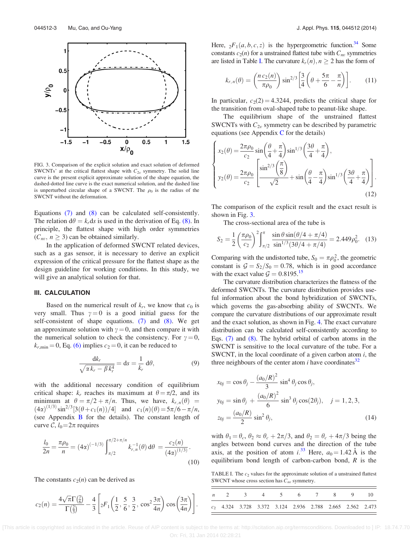<span id="page-3-0"></span>

FIG. 3. Comparison of the explicit solution and exact solution of deformed SWCNTs' at the critical flattest shape with  $C_{2v}$  symmetry. The solid line curve is the present explicit approximate solution of the shape equation, the dashed-dotted line curve is the exact numerical solution, and the dashed line is unperturbed circular shape of a SWCNT. The  $\rho_0$  is the radius of the SWCNT without the deformation.

Equations [\(7\)](#page-2-0) and [\(8\)](#page-2-0) can be calculated self-consistently. The relation  $d\theta = k_r ds$  is used in the derivation of Eq. [\(8\).](#page-2-0) In principle, the flattest shape with high order symmetries  $(C_{nn}, n \geq 3)$  can be obtained similarly.

In the application of deformed SWCNT related devices, such as a gas sensor, it is necessary to derive an explicit expression of the critical pressure for the flattest shape as the design guideline for working conditions. In this study, we will give an analytical solution for that.

#### III. CALCULATION

Based on the numerical result of  $k_r$ , we know that  $c_0$  is very small. Thus  $\gamma = 0$  is a good initial guess for the self-consistent of shape equations. [\(7\)](#page-2-0) and [\(8\).](#page-2-0) We get an approximate solution with  $\gamma = 0$ , and then compare it with the numerical solution to check the consistency. For  $\gamma = 0$ ,  $k_{r,\text{min}} = 0$ , Eq. [\(6\)](#page-2-0) implies  $c_2 = 0$ , it can be reduced to

$$
\frac{\mathrm{d}k_r}{\sqrt{\alpha k_r - \beta k_r^4}} = \mathrm{d}s = \frac{1}{k_r} \,\mathrm{d}\theta,\tag{9}
$$

with the additional necessary condition of equilibrium critical shape:  $k_r$  reaches its maximum at  $\theta = \pi/2$ , and its minimum at  $\theta = \pi/2 + \pi/n$ . Thus, we have,  $k_{r,n}(\theta)$  =  $(4\alpha)^{(1/3)} \sin^{2/3} [3(\theta + c_1(n))/4]$  and  $c_1(n)(\theta) = 5\pi/6 - \pi/n$ , (see Appendix [B](#page-5-0) for the details). The constant length of curve  $\mathcal{C}, l_0 = 2\pi$  requires

$$
\frac{l_0}{2n} = \frac{\pi \rho_0}{n} = (4\alpha)^{(-1/3)} \int_{\pi/2}^{\pi/2 + \pi/n} k_{r,n}^{-1}(\theta) d\theta = \frac{c_2(n)}{(4\alpha)^{(1/3)}}.
$$
\n(10)

The constants  $c_2(n)$  can be derived as

$$
c_2(n) = \frac{4\sqrt{\pi}\Gamma(\frac{7}{6})}{\Gamma(\frac{2}{3})} - \frac{4}{3} \left[ {}_2F_1\left(\frac{1}{2}, \frac{5}{6}, \frac{3}{2}, \cos^2 \frac{3\pi}{4n}\right) \cos \left(\frac{3\pi}{4n}\right) \right].
$$

Here,  ${}_2F_1(a, b, c, z)$  is the hypergeometric function.<sup>[34](#page-6-0)</sup> Some constants  $c_2(n)$  for a unstrained flattest tube with  $C_{nv}$  symmetries are listed in Table I. The curvature  $k_r(n)$ ,  $n \geq 2$  has the form of

$$
k_{r,n}(\theta) = \left(\frac{n c_2(n)}{\pi \rho_0}\right) \sin^{2/3} \left[\frac{3}{4} \left(\theta + \frac{5\pi}{6} - \frac{\pi}{n}\right)\right].
$$
 (11)

In particular,  $c_2(2) = 4.3244$ , predicts the critical shape for the transition from oval-shaped tube to peanut-like shape.

The equilibrium shape of the unstrained flattest SWCNTs with  $C_{2v}$  symmetry can be described by parametric equations (see Appendix  $C$  for the details)

$$
\begin{cases}\n x_2(\theta) = \frac{2\pi\rho_0}{c_2} \sin\left(\frac{\theta}{4} + \frac{\pi}{4}\right) \sin^{1/3}\left(\frac{3\theta}{4} + \frac{\pi}{4}\right), \\
 y_2(\theta) = \frac{2\pi\rho_0}{c_2} \left[ \frac{\sin^{2/3}\left(\frac{\pi}{8}\right)}{\sqrt{2}} + \sin\left(\frac{\theta}{4} - \frac{\pi}{4}\right) \sin^{1/3}\left(\frac{3\theta}{4} + \frac{\pi}{4}\right) \right].\n \end{cases}
$$
\n(12)

The comparison of the explicit result and the exact result is shown in Fig. 3.

The cross-sectional area of the tube is

$$
S_2 = \frac{1}{2} \left( \frac{\pi \rho_0}{c_2} \right)^2 \int_{\pi/2}^{\pi} \frac{\sin \theta \sin(\theta/4 + \pi/4)}{\sin^{1/3}(3\theta/4 + \pi/4)} = 2.449 \rho_0^2. \tag{13}
$$

Comparing with the undistorted tube,  $S_0 = \pi \rho_0^2$ , the geometric constant is  $G = S_2/S_0 = 0.78$ , which is in good accordance with the exact value  $G = 0.8195^{15}$ 

The curvature distribution characterizes the flatness of the deformed SWCNTs. The curvature distribution provides useful information about the bond hybridization of SWCNTs, which governs the gas-absorbing ability of SWCNTs. We compare the curvature distributions of our approximate result and the exact solution, as shown in Fig. [4.](#page-4-0) The exact curvature distribution can be calculated self-consistently according to Eqs. [\(7\)](#page-2-0) and [\(8\)](#page-2-0). The hybrid orbital of carbon atoms in the SWCNT is sensitive to the local curvature of the tube. For a SWCNT, in the local coordinate of a given carbon atom  $i$ , the three neighbours of the center atom  $i$  have coordinates<sup>32</sup>

$$
x_{0j} = \cos \theta_j - \frac{(a_0/R)^2}{3} \sin^4 \theta_j \cos \theta_j,
$$
  
\n
$$
y_{0j} = \sin \theta_j + \frac{(a_0/R)^2}{6} \sin^3 \theta_j \cos(2\theta_j), \quad j = 1, 2, 3,
$$
  
\n
$$
z_{0j} = \frac{(a_0/R)}{2} \sin^2 \theta_j,
$$
\n(14)

with  $\theta_1 = \theta_c$ ,  $\theta_2 \approx \theta_c + 2\pi/3$ , and  $\theta_2 = \theta_c + 4\pi/3$  being the angles between bond curves and the direction of the tube axis, at the position of atom i.<sup>[33](#page-6-0)</sup> Here,  $a_0 = 1.42 \text{ Å}$  is the equilibrium bond length of carbon-carbon bond,  $R$  is the

TABLE I. The  $c_2$  values for the approximate solution of a unstrained flattest SWCNT whose cross section has  $C_{nv}$  symmetry.

|  |  |  |  | n 2 3 4 5 6 7 8 9 10                                        |  |
|--|--|--|--|-------------------------------------------------------------|--|
|  |  |  |  | $c_2$ 4.324 3.728 3.372 3.124 2.936 2.788 2.665 2.562 2.473 |  |

 [This article is copyrighted as indicated in the article. Reuse of AIP content is subject to the terms at: http://scitation.aip.org/termsconditions. Downloaded to ] IP: 18.74.7.70 On: Fri, 31 Jan 2014 02:28:21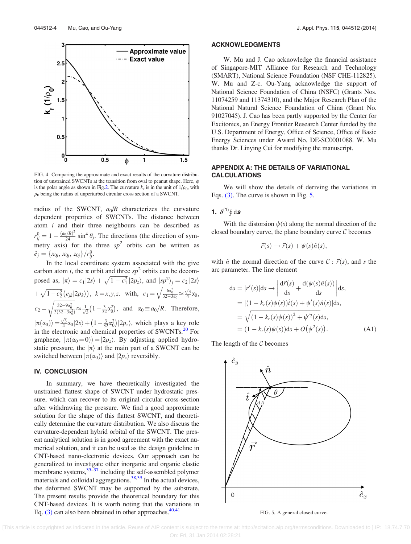<span id="page-4-0"></span>

FIG. 4. Comparing the approximate and exact results of the curvature distribution of unstrained SWCNTs at the transition from oval to peanut shape. Here,  $\phi$ is the polar angle as shown in Fig.[2](#page-2-0). The curvature  $k_r$  is in the unit of  $1/\rho_0$ , with  $\rho_0$  being the radius of unperturbed circular cross section of a SWCNT.

radius of the SWCNT,  $a_0/R$  characterizes the curvature dependent properties of SWCNTs. The distance between atom  $i$  and their three neighbours can be described as  $r_{ij}^0 = 1 - \frac{(a_0/R)^2}{24} \sin^4 \theta_j$ . The directions (the direction of symmetry axis) for the three  $sp^2$  orbits can be written as  $\hat{e}_j = \{x_{0j}, x_{0j}, z_{0j}\}/r_{ij}^0.$ 

In the local coordinate system associated with the give carbon atom *i*, the  $\pi$  orbit and three sp<sup>2</sup> orbits can be decomposed as,  $|\pi\rangle = c_1|2s\rangle + \sqrt{1-c_1^2}|2p_z\rangle$ , and  $|sp^2\rangle_j = c_2|2s\rangle$  $+\sqrt{1-c_2^2}(e_{jk}|2p_k)\big),\;k=x,y,z.$  with,  $c_1=\sqrt{\frac{6a_0^2}{32-3a_0^2}}$  $\frac{1}{\sqrt{2}}$  $\approx \frac{\sqrt{3}}{4}\alpha_0,$  $c_2 =$  $\frac{32-9\alpha_0^2}{3(32-3\alpha_0^2)}$ r  $\approx \frac{1}{\sqrt{3}}(1-\frac{3}{32}\alpha_0^2)$ , and  $\alpha_0 \equiv a_0/R$ . Therefore,  $\ket{\pi(\alpha_0)} = \frac{\sqrt{3}}{4} \alpha_0 |2s\rangle + \left(1 - \frac{3}{32} \alpha_0^2\right)$ p  $\left(1-\frac{3}{32}\alpha_0^2\right)|2p_z\rangle$ , which plays a key role in the electronic and chemical properties of SWCNTs.<sup>[20](#page-6-0)</sup> For graphene,  $|\pi(\alpha_0=0)\rangle = |2p_z\rangle$ . By adjusting applied hydrostatic pressure, the  $|\pi\rangle$  at the main part of a SWCNT can be switched between  $|\pi(\alpha_0)\rangle$  and  $|2p_z\rangle$  reversibly.

#### IV. CONCLUSION

In summary, we have theoretically investigated the unstrained flattest shape of SWCNT under hydrostatic pressure, which can recover to its original circular cross-section after withdrawing the pressure. We find a good approximate solution for the shape of this flattest SWCNT, and theoretically determine the curvature distribution. We also discuss the curvature-dependent hybrid orbital of the SWCNT. The present analytical solution is in good agreement with the exact numerical solution, and it can be used as the design guideline in CNT-based nano-electronic devices. Our approach can be generalized to investigate other inorganic and organic elastic membrane systems,  $35-37$  including the self-assembled polymer materials and colloidal aggregations.<sup>38,39</sup> In the actual devices, the deformed SWCNT may be supported by the substrate. The present results provide the theoretical boundary for this CNT-based devices. It is worth noting that the variations in Eq.  $(3)$  can also been obtained in other approaches.<sup>40,41</sup>

#### ACKNOWLEDGMENTS

W. Mu and J. Cao acknowledge the financial assistance of Singapore-MIT Alliance for Research and Technology (SMART), National Science Foundation (NSF CHE-112825). W. Mu and Z-c. Ou-Yang acknowledge the support of National Science Foundation of China (NSFC) (Grants Nos. 11074259 and 11374310), and the Major Research Plan of the National Natural Science Foundation of China (Grant No. 91027045). J. Cao has been partly supported by the Center for Excitonics, an Energy Frontier Research Center funded by the U.S. Department of Energy, Office of Science, Office of Basic Energy Sciences under Award No. DE-SC0001088. W. Mu thanks Dr. Linying Cui for modifying the manuscript.

#### APPENDIX A: THE DETAILS OF VARIATIONAL CALCULATIONS

We will show the details of deriving the variations in Eqs. [\(3\).](#page-2-0) The curve is shown in Fig. 5.

1.  $\delta^{(1)}\oint d\mathbf{s}$ 

With the distorsion  $\psi(s)$  along the normal direction of the closed boundary curve, the plane boundary curve  $C$  becomes

$$
\vec{r}(s) \rightarrow \vec{r}(s) + \psi(s)\hat{n}(s),
$$

with  $\hat{n}$  the normal direction of the curve  $C : \vec{r}(s)$ , and s the arc parameter. The line element

$$
ds = |\vec{r}'(s)|ds \to \left| \frac{d\vec{r}(s)}{ds} + \frac{d(\psi(s)\hat{n}(s))}{ds} \right| ds,= |(1 - k_r(s)\psi(s))\hat{t}(s) + \psi'(s)\hat{n}(s)|ds,= \sqrt{(1 - k_r(s)\psi(s))^2 + \psi'^2(s)}ds,= (1 - k_r(s)\psi(s))ds + O(\psi^2(s)).
$$
 (A1)

The length of the  $C$  becomes



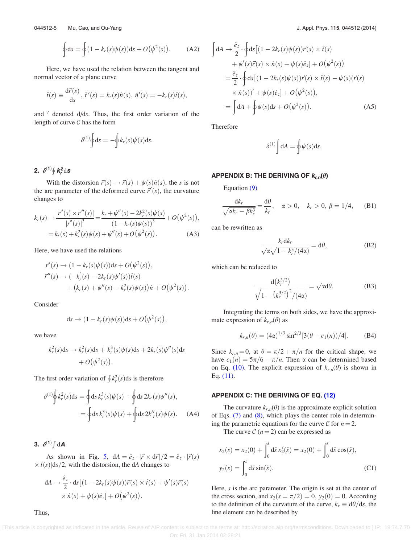$$
\oint ds = \oint (1 - k_r(s)\psi(s))ds + O(\psi^2(s)).
$$
 (A2)

<span id="page-5-0"></span>Here, we have used the relation between the tangent and normal vector of a plane curve

$$
\hat{t}(s) \equiv \frac{d\vec{r}(s)}{ds}, \ \hat{t}'(s) = k_r(s)\hat{n}(s), \ \hat{n}'(s) = -k_r(s)\hat{t}(s),
$$

and  $\prime$  denoted d/ds. Thus, the first order variation of the length of curve  $C$  has the form

$$
\delta^{(1)} \oint ds = -\oint k_r(s) \psi(s) ds.
$$

# 2.  $\delta^{(1)}\oint k_r^2 \mathrm{d} s$

With the distorsion  $\vec{r}(s) \rightarrow \vec{r}(s) + \psi(s)\hat{n}(s)$ , the s is not the arc parameter of the deformed curve  $\vec{r}'(s)$ , the curvature changes to

$$
k_r(s) \to \frac{|\vec{r}'(s) \times \vec{r}''(s)|}{|\vec{r}'(s)|^3} = \frac{k_r + \psi''(s) - 2k_r^2(s)\psi(s)}{(1 - k_r(s)\psi(s))^3} + O(\psi^2(s)),
$$
  
=  $k_r(s) + k_r^2(s)\psi(s) + \psi''(s) + O(\psi^2(s)).$  (A3)

Here, we have used the relations

$$
\begin{aligned} \vec{r}'(s) &\to (1 - k_r(s)\psi(s))\mathrm{d}s + O(\psi^2(s)), \\ \vec{r}''(s) &\to (-k'_r(s) - 2k_r(s)\psi'(s))\hat{t}(s) \\ &+ (k_r(s) + \psi''(s) - k_r^2(s)\psi(s))\hat{n} + O(\psi^2(s)). \end{aligned}
$$

Consider

$$
ds \to (1 - k_r(s)\psi(s))ds + O(\psi^2(s)),
$$

we have

$$
k_r^2(s)ds \to k_r^2(s)ds + k_r^3(s)\psi(s)ds + 2k_r(s)\psi''(s)ds
$$
  
+  $O(\psi^2(s)).$ 

The first order variation of  $\oint k_r^2(s)ds$  is therefore

$$
\delta^{(1)}\oint k_r^2(s)ds = \oint ds k_r^3(s)\psi(s) + \oint ds 2k_r(s)\psi''(s),
$$
  
= 
$$
\oint ds k_r^3(s)\psi(s) + \oint ds 2k'_r(s)\psi(s).
$$
 (A4)

3.  $\delta^{(1)} \int dA$ 

As shown in Fig. [5](#page-4-0),  $dA = \hat{e}_z \cdot |\vec{r} \times d\vec{r}|/2 = \hat{e}_z \cdot |\vec{r}(s)|$  $\times \hat{t}(s)|ds/2$ , with the distorsion, the dA changes to

$$
dA \to \frac{\hat{e}_z}{2} \cdot ds \left[ (1 - 2k_r(s)\psi(s))\vec{r}(s) \times \hat{t}(s) + \psi'(s)\vec{r}(s) \times \hat{n}(s) + \psi(s)\hat{e}_z \right] + O(\psi^2(s)).
$$

$$
\int dA \rightarrow \frac{\hat{e}_z}{2} \cdot \oint ds \left[ (1 - 2k_r(s)\psi(s))\vec{r}(s) \times \hat{t}(s) + \psi'(s)\vec{r}(s) \times \hat{n}(s) + \psi(s)\hat{e}_z \right] + O(\psi^2(s))
$$
  
\n
$$
= \frac{\hat{e}_z}{2} \cdot \oint ds \left[ (1 - 2k_r(s)\psi(s))\vec{r}(s) \times \hat{t}(s) - \psi(s)(\vec{r}(s) \times \hat{n}(s))' + \psi(s)\hat{e}_z \right] + O(\psi^2(s)),
$$
  
\n
$$
= \int dA + \oint \psi(s)ds + O(\psi^2(s)). \tag{A5}
$$

Therefore

$$
\delta^{(1)}\int dA = \oint \psi(s)ds.
$$

#### APPENDIX B: THE DERIVING OF  $k_{r,n}(\theta)$

Equation [\(9\)](#page-3-0)

$$
\frac{\mathrm{d}k_r}{\sqrt{\alpha k_r - \beta k_r^3}} = \frac{\mathrm{d}\theta}{k_r}, \quad \alpha > 0, \quad k_r > 0, \ \beta = 1/4, \qquad \text{(B1)}
$$

can be rewritten as

$$
\frac{k_r \mathrm{d}k_r}{\sqrt{\alpha} \sqrt{1 - k_r^3/(4\alpha)}} = \mathrm{d}\theta,\tag{B2}
$$

which can be reduced to

$$
\frac{d(k_r^{3/2})}{\sqrt{1-(k_r^{3/2})^2/(4\alpha)}} = \sqrt{\alpha}d\theta.
$$
 (B3)

Integrating the terms on both sides, we have the approximate expression of  $k_{r,n}(\theta)$  as

$$
k_{r,n}(\theta) = (4\alpha)^{1/3} \sin^{2/3} [3(\theta + c_1(n))/4].
$$
 (B4)

Since  $k_{r,n} = 0$ , at  $\theta = \pi/2 + \pi/n$  for the critical shape, we have  $c_1(n) = 5\pi/6 - \pi/n$ . Then  $\alpha$  can be determined based on Eq. [\(10\).](#page-3-0) The explicit expression of  $k_{r,n}(\theta)$  is shown in Eq. [\(11\).](#page-3-0)

#### APPENDIX C: THE DERIVING OF EQ. [\(12\)](#page-3-0)

The curvature  $k_{r,n}(\theta)$  is the approximate explicit solution of Eqs. [\(7\)](#page-2-0) and [\(8\)](#page-2-0), which plays the center role in determining the parametric equations for the curve C for  $n = 2$ .

The curve  $C(n=2)$  can be expressed as

$$
x_2(s) = x_2(0) + \int_0^s d\tilde{s} x_2'(\tilde{s}) = x_2(0) + \int_0^s d\tilde{s} \cos(\tilde{s}),
$$
  

$$
y_2(s) = \int_0^s d\tilde{s} \sin(\tilde{s}).
$$
 (C1)

Here,  $s$  is the arc parameter. The origin is set at the center of the cross section, and  $x_2(s = \pi/2) = 0$ ,  $y_2(0) = 0$ . According to the definition of the curvature of the curve,  $k_r \equiv d\theta/ds$ , the line element can be described by

Thus,

 [This article is copyrighted as indicated in the article. Reuse of AIP content is subject to the terms at: http://scitation.aip.org/termsconditions. Downloaded to ] IP: 18.74.7.70 On: Fri, 31 Jan 2014 02:28:21